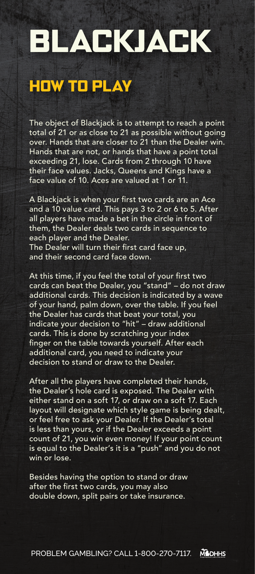# BLACKJACK

# HOW TO PLAY

The object of Blackjack is to attempt to reach a point total of 21 or as close to 21 as possible without going over. Hands that are closer to 21 than the Dealer win. Hands that are not, or hands that have a point total exceeding 21, lose. Cards from 2 through 10 have their face values. Jacks, Queens and Kings have a face value of 10. Aces are valued at 1 or 11.

A Blackjack is when your first two cards are an Ace and a 10 value card. This pays 3 to 2 or 6 to 5. After all players have made a bet in the circle in front of them, the Dealer deals two cards in sequence to each player and the Dealer. The Dealer will turn their first card face up,

and their second card face down.

At this time, if you feel the total of your first two cards can beat the Dealer, you "stand" – do not draw additional cards. This decision is indicated by a wave of your hand, palm down, over the table. If you feel the Dealer has cards that beat your total, you indicate your decision to "hit" – draw additional cards. This is done by scratching your index finger on the table towards yourself. After each additional card, you need to indicate your decision to stand or draw to the Dealer.

After all the players have completed their hands, the Dealer's hole card is exposed. The Dealer with either stand on a soft 17, or draw on a soft 17. Each layout will designate which style game is being dealt, or feel free to ask your Dealer. If the Dealer's total is less than yours, or if the Dealer exceeds a point count of 21, you win even money! If your point count is equal to the Dealer's it is a "push" and you do not win or lose.

Besides having the option to stand or draw after the first two cards, you may also double down, split pairs or take insurance.

PROBLEM GAMBLING? CALL 1-800-270-7117.**MODHHS**